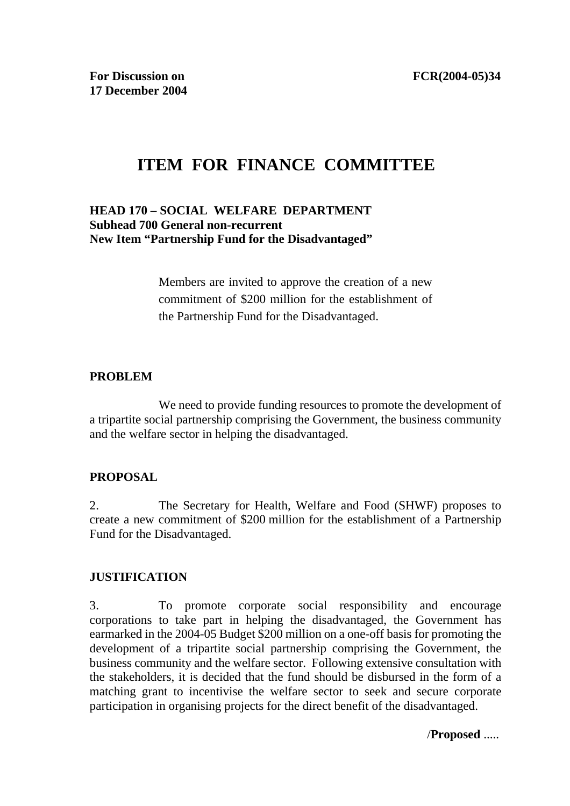# **ITEM FOR FINANCE COMMITTEE**

### **HEAD 170 – SOCIAL WELFARE DEPARTMENT Subhead 700 General non-recurrent New Item "Partnership Fund for the Disadvantaged"**

Members are invited to approve the creation of a new commitment of \$200 million for the establishment of the Partnership Fund for the Disadvantaged.

#### **PROBLEM**

We need to provide funding resources to promote the development of a tripartite social partnership comprising the Government, the business community and the welfare sector in helping the disadvantaged.

#### **PROPOSAL**

2. The Secretary for Health, Welfare and Food (SHWF) proposes to create a new commitment of \$200 million for the establishment of a Partnership Fund for the Disadvantaged.

# **JUSTIFICATION**

3. To promote corporate social responsibility and encourage corporations to take part in helping the disadvantaged, the Government has earmarked in the 2004-05 Budget \$200 million on a one-off basis for promoting the development of a tripartite social partnership comprising the Government, the business community and the welfare sector. Following extensive consultation with the stakeholders, it is decided that the fund should be disbursed in the form of a matching grant to incentivise the welfare sector to seek and secure corporate participation in organising projects for the direct benefit of the disadvantaged.

/**Proposed** .....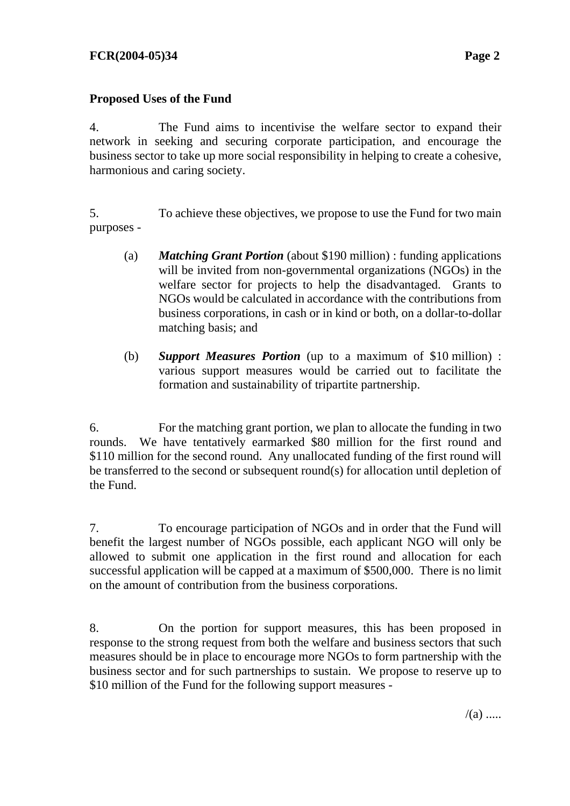## **Proposed Uses of the Fund**

4. The Fund aims to incentivise the welfare sector to expand their network in seeking and securing corporate participation, and encourage the business sector to take up more social responsibility in helping to create a cohesive, harmonious and caring society.

5. To achieve these objectives, we propose to use the Fund for two main purposes -

- (a) *Matching Grant Portion* (about \$190 million) : funding applications will be invited from non-governmental organizations (NGOs) in the welfare sector for projects to help the disadvantaged. Grants to NGOs would be calculated in accordance with the contributions from business corporations, in cash or in kind or both, on a dollar-to-dollar matching basis; and
- (b) *Support Measures Portion* (up to a maximum of \$10 million) : various support measures would be carried out to facilitate the formation and sustainability of tripartite partnership.

6. For the matching grant portion, we plan to allocate the funding in two rounds. We have tentatively earmarked \$80 million for the first round and \$110 million for the second round. Any unallocated funding of the first round will be transferred to the second or subsequent round(s) for allocation until depletion of the Fund.

7. To encourage participation of NGOs and in order that the Fund will benefit the largest number of NGOs possible, each applicant NGO will only be allowed to submit one application in the first round and allocation for each successful application will be capped at a maximum of \$500,000. There is no limit on the amount of contribution from the business corporations.

8. On the portion for support measures, this has been proposed in response to the strong request from both the welfare and business sectors that such measures should be in place to encourage more NGOs to form partnership with the business sector and for such partnerships to sustain. We propose to reserve up to \$10 million of the Fund for the following support measures -

 $/(a)$  .....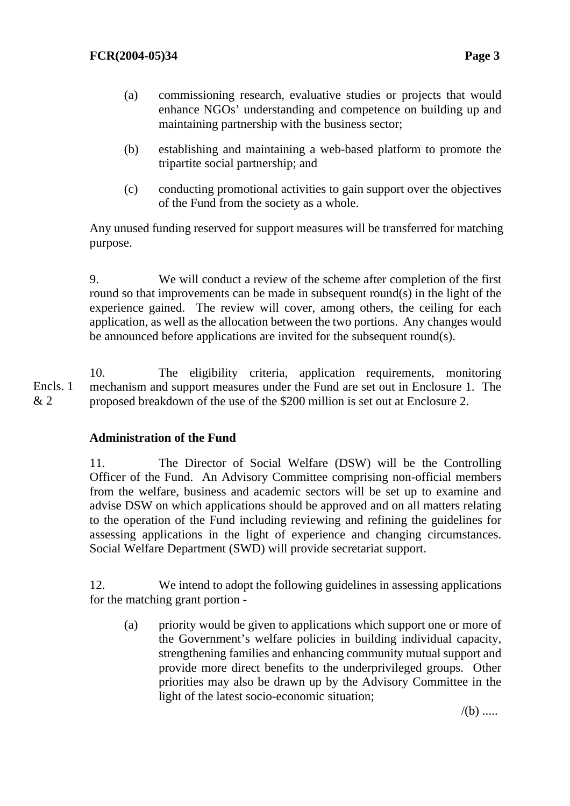- (a) commissioning research, evaluative studies or projects that would enhance NGOs' understanding and competence on building up and maintaining partnership with the business sector;
- (b) establishing and maintaining a web-based platform to promote the tripartite social partnership; and
- (c) conducting promotional activities to gain support over the objectives of the Fund from the society as a whole.

Any unused funding reserved for support measures will be transferred for matching purpose.

9. We will conduct a review of the scheme after completion of the first round so that improvements can be made in subsequent round(s) in the light of the experience gained. The review will cover, among others, the ceiling for each application, as well as the allocation between the two portions. Any changes would be announced before applications are invited for the subsequent round(s).

10. The eligibility criteria, application requirements, monitoring mechanism and support measures under the Fund are set out in Enclosure 1. The proposed breakdown of the use of the \$200 million is set out at Enclosure 2. Encls. 1  $& 2 \right.$ 

#### **Administration of the Fund**

11. The Director of Social Welfare (DSW) will be the Controlling Officer of the Fund. An Advisory Committee comprising non-official members from the welfare, business and academic sectors will be set up to examine and advise DSW on which applications should be approved and on all matters relating to the operation of the Fund including reviewing and refining the guidelines for assessing applications in the light of experience and changing circumstances. Social Welfare Department (SWD) will provide secretariat support.

12. We intend to adopt the following guidelines in assessing applications for the matching grant portion -

(a) priority would be given to applications which support one or more of the Government's welfare policies in building individual capacity, strengthening families and enhancing community mutual support and provide more direct benefits to the underprivileged groups. Other priorities may also be drawn up by the Advisory Committee in the light of the latest socio-economic situation;

 $/(b)$  .....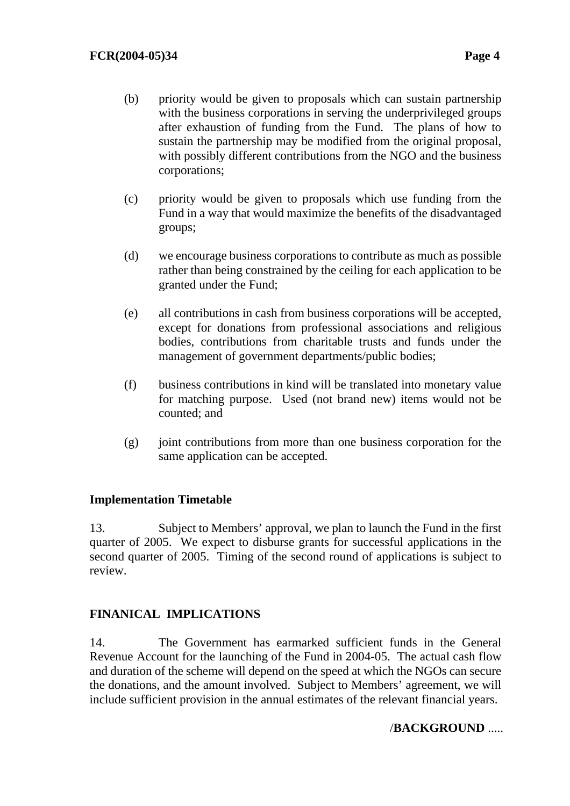- (b) priority would be given to proposals which can sustain partnership with the business corporations in serving the underprivileged groups after exhaustion of funding from the Fund. The plans of how to sustain the partnership may be modified from the original proposal, with possibly different contributions from the NGO and the business corporations;
- (c) priority would be given to proposals which use funding from the Fund in a way that would maximize the benefits of the disadvantaged groups;
- (d) we encourage business corporations to contribute as much as possible rather than being constrained by the ceiling for each application to be granted under the Fund;
- (e) all contributions in cash from business corporations will be accepted, except for donations from professional associations and religious bodies, contributions from charitable trusts and funds under the management of government departments/public bodies;
- (f) business contributions in kind will be translated into monetary value for matching purpose. Used (not brand new) items would not be counted; and
- (g) joint contributions from more than one business corporation for the same application can be accepted.

#### **Implementation Timetable**

13. Subject to Members' approval, we plan to launch the Fund in the first quarter of 2005. We expect to disburse grants for successful applications in the second quarter of 2005. Timing of the second round of applications is subject to review.

#### **FINANICAL IMPLICATIONS**

14. The Government has earmarked sufficient funds in the General Revenue Account for the launching of the Fund in 2004-05. The actual cash flow and duration of the scheme will depend on the speed at which the NGOs can secure the donations, and the amount involved. Subject to Members' agreement, we will include sufficient provision in the annual estimates of the relevant financial years.

#### /**BACKGROUND** .....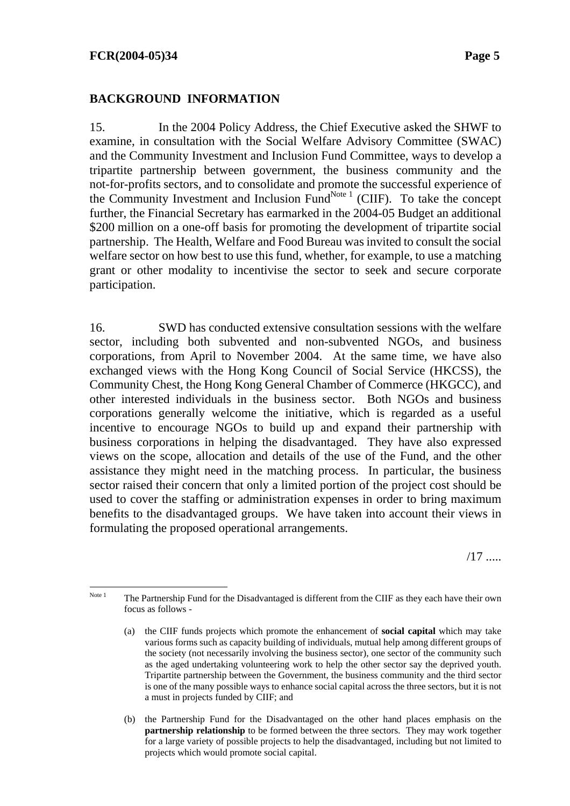### **BACKGROUND INFORMATION**

15. In the 2004 Policy Address, the Chief Executive asked the SHWF to examine, in consultation with the Social Welfare Advisory Committee (SWAC) and the Community Investment and Inclusion Fund Committee, ways to develop a tripartite partnership between government, the business community and the not-for-profits sectors, and to consolidate and promote the successful experience of the Community Investment and Inclusion Fund<sup>Note 1</sup> (CIIF). To take the concept further, the Financial Secretary has earmarked in the 2004-05 Budget an additional \$200 million on a one-off basis for promoting the development of tripartite social partnership. The Health, Welfare and Food Bureau was invited to consult the social welfare sector on how best to use this fund, whether, for example, to use a matching grant or other modality to incentivise the sector to seek and secure corporate participation.

16. SWD has conducted extensive consultation sessions with the welfare sector, including both subvented and non-subvented NGOs, and business corporations, from April to November 2004. At the same time, we have also exchanged views with the Hong Kong Council of Social Service (HKCSS), the Community Chest, the Hong Kong General Chamber of Commerce (HKGCC), and other interested individuals in the business sector. Both NGOs and business corporations generally welcome the initiative, which is regarded as a useful incentive to encourage NGOs to build up and expand their partnership with business corporations in helping the disadvantaged. They have also expressed views on the scope, allocation and details of the use of the Fund, and the other assistance they might need in the matching process. In particular, the business sector raised their concern that only a limited portion of the project cost should be used to cover the staffing or administration expenses in order to bring maximum benefits to the disadvantaged groups. We have taken into account their views in formulating the proposed operational arrangements.

/17 .....

Note 1 The Partnership Fund for the Disadvantaged is different from the CIIF as they each have their own focus as follows -

<sup>(</sup>a) the CIIF funds projects which promote the enhancement of **social capital** which may take various forms such as capacity building of individuals, mutual help among different groups of the society (not necessarily involving the business sector), one sector of the community such as the aged undertaking volunteering work to help the other sector say the deprived youth. Tripartite partnership between the Government, the business community and the third sector is one of the many possible ways to enhance social capital across the three sectors, but it is not a must in projects funded by CIIF; and

<sup>(</sup>b) the Partnership Fund for the Disadvantaged on the other hand places emphasis on the **partnership relationship** to be formed between the three sectors. They may work together for a large variety of possible projects to help the disadvantaged, including but not limited to projects which would promote social capital.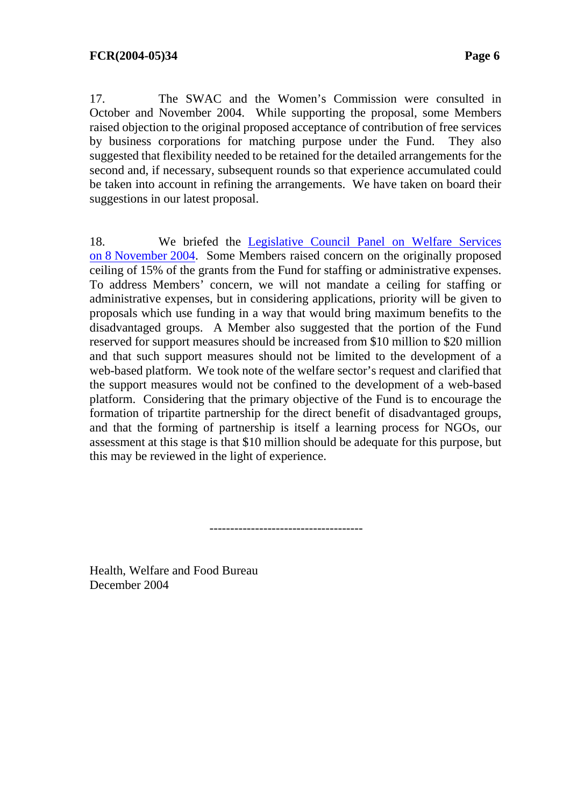17. The SWAC and the Women's Commission were consulted in October and November 2004. While supporting the proposal, some Members raised objection to the original proposed acceptance of contribution of free services by business corporations for matching purpose under the Fund. They also suggested that flexibility needed to be retained for the detailed arrangements for the second and, if necessary, subsequent rounds so that experience accumulated could be taken into account in refining the arrangements. We have taken on board their suggestions in our latest proposal.

18. We briefed the [Legislative Council Panel on Welfare Services](http://www.legco.gov.hk/yr04-05/english/panels/ws/general/ws0405.htm#041108)  [on 8 November 2004.](http://www.legco.gov.hk/yr04-05/english/panels/ws/general/ws0405.htm#041108) Some Members raised concern on the originally proposed ceiling of 15% of the grants from the Fund for staffing or administrative expenses. To address Members' concern, we will not mandate a ceiling for staffing or administrative expenses, but in considering applications, priority will be given to proposals which use funding in a way that would bring maximum benefits to the disadvantaged groups. A Member also suggested that the portion of the Fund reserved for support measures should be increased from \$10 million to \$20 million and that such support measures should not be limited to the development of a web-based platform. We took note of the welfare sector's request and clarified that the support measures would not be confined to the development of a web-based platform. Considering that the primary objective of the Fund is to encourage the formation of tripartite partnership for the direct benefit of disadvantaged groups, and that the forming of partnership is itself a learning process for NGOs, our assessment at this stage is that \$10 million should be adequate for this purpose, but this may be reviewed in the light of experience.

-------------------------------------

Health, Welfare and Food Bureau December 2004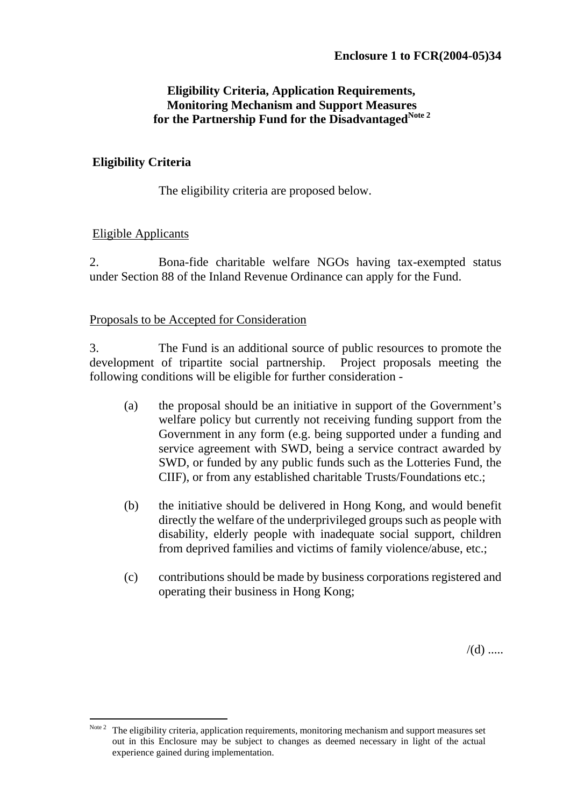## **Eligibility Criteria, Application Requirements, Monitoring Mechanism and Support Measures for the Partnership Fund for the DisadvantagedNote 2**

#### **Eligibility Criteria**

The eligibility criteria are proposed below.

## Eligible Applicants

2. Bona-fide charitable welfare NGOs having tax-exempted status under Section 88 of the Inland Revenue Ordinance can apply for the Fund.

## Proposals to be Accepted for Consideration

3. The Fund is an additional source of public resources to promote the development of tripartite social partnership. Project proposals meeting the following conditions will be eligible for further consideration -

- (a) the proposal should be an initiative in support of the Government's welfare policy but currently not receiving funding support from the Government in any form (e.g. being supported under a funding and service agreement with SWD, being a service contract awarded by SWD, or funded by any public funds such as the Lotteries Fund, the CIIF), or from any established charitable Trusts/Foundations etc.;
- (b) the initiative should be delivered in Hong Kong, and would benefit directly the welfare of the underprivileged groups such as people with disability, elderly people with inadequate social support, children from deprived families and victims of family violence/abuse, etc.;
- (c) contributions should be made by business corporations registered and operating their business in Hong Kong;

 $/(d)$  .....

 Note 2 The eligibility criteria, application requirements, monitoring mechanism and support measures set out in this Enclosure may be subject to changes as deemed necessary in light of the actual experience gained during implementation.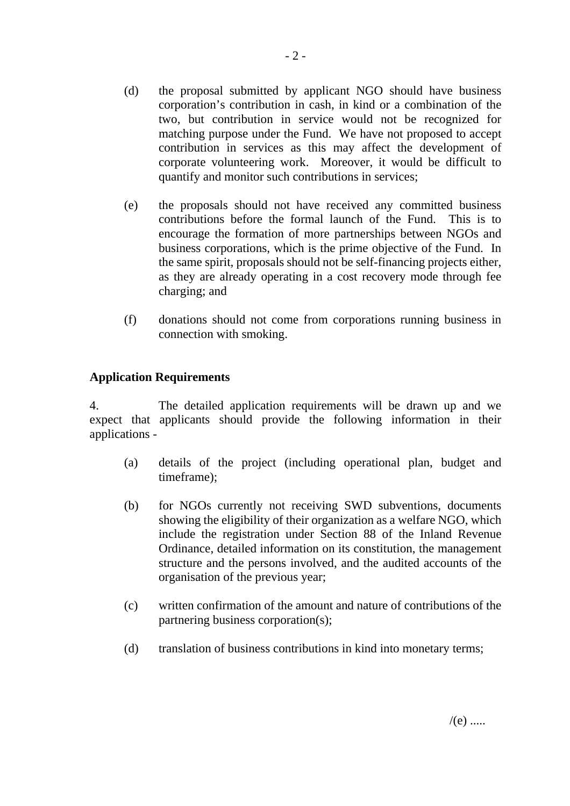- (d) the proposal submitted by applicant NGO should have business corporation's contribution in cash, in kind or a combination of the two, but contribution in service would not be recognized for matching purpose under the Fund. We have not proposed to accept contribution in services as this may affect the development of corporate volunteering work. Moreover, it would be difficult to quantify and monitor such contributions in services;
- (e) the proposals should not have received any committed business contributions before the formal launch of the Fund. This is to encourage the formation of more partnerships between NGOs and business corporations, which is the prime objective of the Fund. In the same spirit, proposals should not be self-financing projects either, as they are already operating in a cost recovery mode through fee charging; and
- (f) donations should not come from corporations running business in connection with smoking.

## **Application Requirements**

4. The detailed application requirements will be drawn up and we expect that applicants should provide the following information in their applications -

- (a) details of the project (including operational plan, budget and timeframe);
- (b) for NGOs currently not receiving SWD subventions, documents showing the eligibility of their organization as a welfare NGO, which include the registration under Section 88 of the Inland Revenue Ordinance, detailed information on its constitution, the management structure and the persons involved, and the audited accounts of the organisation of the previous year;
- (c) written confirmation of the amount and nature of contributions of the partnering business corporation(s);
- (d) translation of business contributions in kind into monetary terms;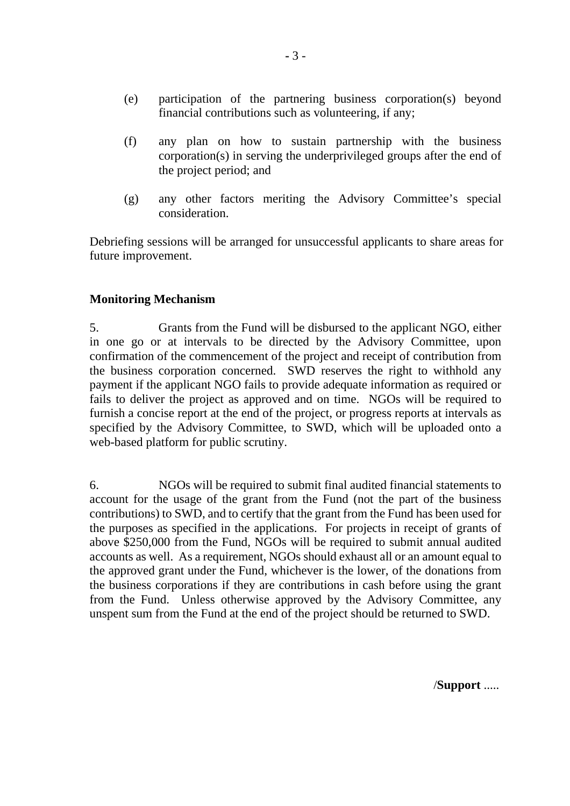- (e) participation of the partnering business corporation(s) beyond financial contributions such as volunteering, if any;
- (f) any plan on how to sustain partnership with the business corporation(s) in serving the underprivileged groups after the end of the project period; and
- (g) any other factors meriting the Advisory Committee's special consideration.

Debriefing sessions will be arranged for unsuccessful applicants to share areas for future improvement.

#### **Monitoring Mechanism**

5. Grants from the Fund will be disbursed to the applicant NGO, either in one go or at intervals to be directed by the Advisory Committee, upon confirmation of the commencement of the project and receipt of contribution from the business corporation concerned. SWD reserves the right to withhold any payment if the applicant NGO fails to provide adequate information as required or fails to deliver the project as approved and on time. NGOs will be required to furnish a concise report at the end of the project, or progress reports at intervals as specified by the Advisory Committee, to SWD, which will be uploaded onto a web-based platform for public scrutiny.

6. NGOs will be required to submit final audited financial statements to account for the usage of the grant from the Fund (not the part of the business contributions) to SWD, and to certify that the grant from the Fund has been used for the purposes as specified in the applications. For projects in receipt of grants of above \$250,000 from the Fund, NGOs will be required to submit annual audited accounts as well. As a requirement, NGOs should exhaust all or an amount equal to the approved grant under the Fund, whichever is the lower, of the donations from the business corporations if they are contributions in cash before using the grant from the Fund. Unless otherwise approved by the Advisory Committee, any unspent sum from the Fund at the end of the project should be returned to SWD.

/**Support** .....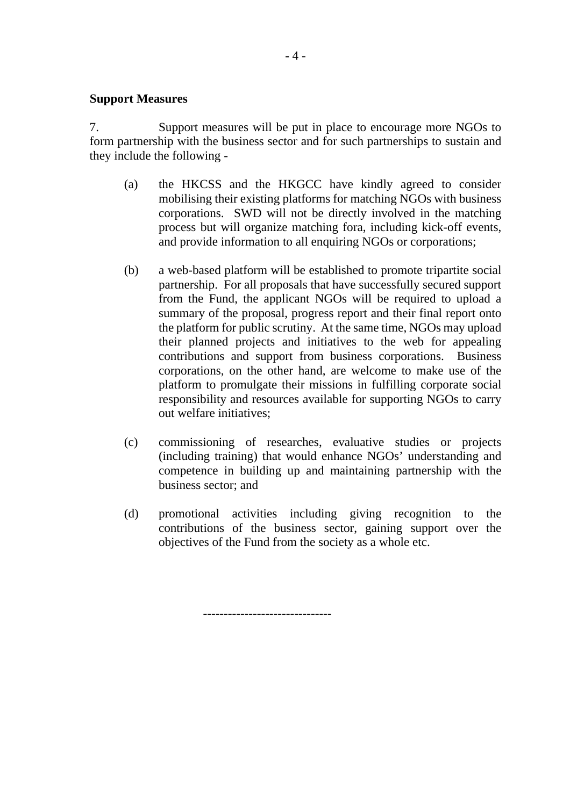#### **Support Measures**

7. Support measures will be put in place to encourage more NGOs to form partnership with the business sector and for such partnerships to sustain and they include the following -

- (a) the HKCSS and the HKGCC have kindly agreed to consider mobilising their existing platforms for matching NGOs with business corporations. SWD will not be directly involved in the matching process but will organize matching fora, including kick-off events, and provide information to all enquiring NGOs or corporations;
- (b) a web-based platform will be established to promote tripartite social partnership. For all proposals that have successfully secured support from the Fund, the applicant NGOs will be required to upload a summary of the proposal, progress report and their final report onto the platform for public scrutiny. At the same time, NGOs may upload their planned projects and initiatives to the web for appealing contributions and support from business corporations. Business corporations, on the other hand, are welcome to make use of the platform to promulgate their missions in fulfilling corporate social responsibility and resources available for supporting NGOs to carry out welfare initiatives;
- (c) commissioning of researches, evaluative studies or projects (including training) that would enhance NGOs' understanding and competence in building up and maintaining partnership with the business sector; and
- (d) promotional activities including giving recognition to the contributions of the business sector, gaining support over the objectives of the Fund from the society as a whole etc.

-------------------------------

**-** 4 -